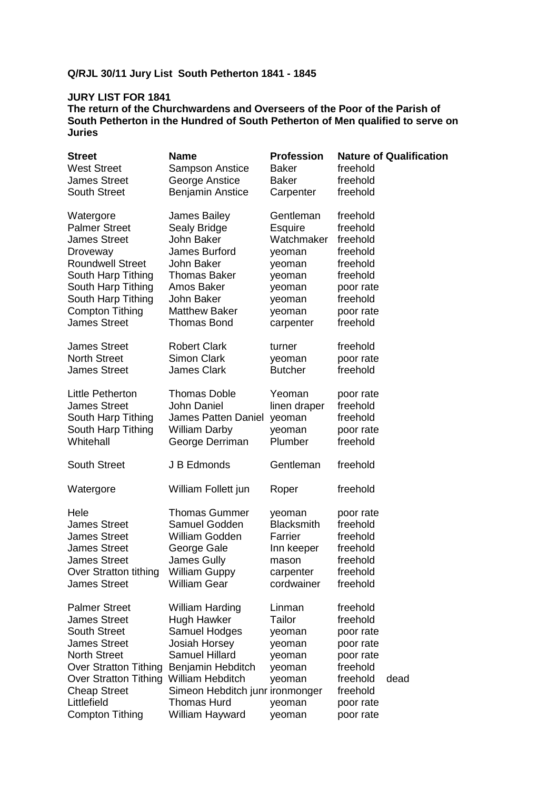# **Q/RJL 30/11 Jury List South Petherton 1841 - 1845**

## **JURY LIST FOR 1841**

| <b>Street</b>                       | <b>Name</b>                     | <b>Profession</b> |           | <b>Nature of Qualification</b> |
|-------------------------------------|---------------------------------|-------------------|-----------|--------------------------------|
| <b>West Street</b>                  | <b>Sampson Anstice</b>          | <b>Baker</b>      | freehold  |                                |
| <b>James Street</b>                 | George Anstice                  | <b>Baker</b>      | freehold  |                                |
| <b>South Street</b>                 | <b>Benjamin Anstice</b>         | Carpenter         | freehold  |                                |
|                                     |                                 |                   |           |                                |
| Watergore                           | James Bailey                    | Gentleman         | freehold  |                                |
| <b>Palmer Street</b>                | Sealy Bridge                    | Esquire           | freehold  |                                |
| <b>James Street</b>                 | John Baker                      | Watchmaker        | freehold  |                                |
| Droveway                            | James Burford                   | yeoman            | freehold  |                                |
| <b>Roundwell Street</b>             | John Baker                      | yeoman            | freehold  |                                |
| South Harp Tithing                  | <b>Thomas Baker</b>             | yeoman            | freehold  |                                |
| South Harp Tithing                  | Amos Baker                      | yeoman            | poor rate |                                |
| South Harp Tithing                  | John Baker                      | yeoman            | freehold  |                                |
| <b>Compton Tithing</b>              | <b>Matthew Baker</b>            | yeoman            | poor rate |                                |
| <b>James Street</b>                 | <b>Thomas Bond</b>              | carpenter         | freehold  |                                |
| <b>James Street</b>                 | <b>Robert Clark</b>             | turner            | freehold  |                                |
| <b>North Street</b>                 | Simon Clark                     | yeoman            | poor rate |                                |
| <b>James Street</b>                 | <b>James Clark</b>              | <b>Butcher</b>    | freehold  |                                |
|                                     |                                 |                   |           |                                |
| Little Petherton                    | <b>Thomas Doble</b>             | Yeoman            | poor rate |                                |
| <b>James Street</b>                 | John Daniel                     | linen draper      | freehold  |                                |
| South Harp Tithing                  | James Patten Daniel             | yeoman            | freehold  |                                |
| South Harp Tithing                  | <b>William Darby</b>            | yeoman            | poor rate |                                |
| Whitehall                           | George Derriman                 | Plumber           | freehold  |                                |
| <b>South Street</b>                 | J B Edmonds                     | Gentleman         | freehold  |                                |
|                                     |                                 |                   |           |                                |
| Watergore                           | William Follett jun             | Roper             | freehold  |                                |
| Hele                                | <b>Thomas Gummer</b>            | yeoman            | poor rate |                                |
| <b>James Street</b>                 | Samuel Godden                   | <b>Blacksmith</b> | freehold  |                                |
| <b>James Street</b>                 | William Godden                  | Farrier           | freehold  |                                |
| <b>James Street</b>                 | George Gale                     | Inn keeper        | freehold  |                                |
| <b>James Street</b>                 | James Gully                     | mason             | freehold  |                                |
| Over Stratton tithing William Guppy |                                 | carpenter         | freehold  |                                |
| <b>James Street</b>                 | <b>William Gear</b>             | cordwainer        | freehold  |                                |
|                                     |                                 |                   |           |                                |
| <b>Palmer Street</b>                | <b>William Harding</b>          | Linman            | freehold  |                                |
| <b>James Street</b>                 | Hugh Hawker                     | Tailor            | freehold  |                                |
| <b>South Street</b>                 | Samuel Hodges                   | yeoman            | poor rate |                                |
| <b>James Street</b>                 | <b>Josiah Horsey</b>            | yeoman            | poor rate |                                |
| <b>North Street</b>                 | <b>Samuel Hillard</b>           | yeoman            | poor rate |                                |
| <b>Over Stratton Tithing</b>        | Benjamin Hebditch               | yeoman            | freehold  |                                |
| <b>Over Stratton Tithing</b>        | William Hebditch                | yeoman            | freehold  | dead                           |
| <b>Cheap Street</b>                 | Simeon Hebditch junr ironmonger |                   | freehold  |                                |
| Littlefield                         | <b>Thomas Hurd</b>              | yeoman            | poor rate |                                |
| <b>Compton Tithing</b>              | William Hayward                 | yeoman            | poor rate |                                |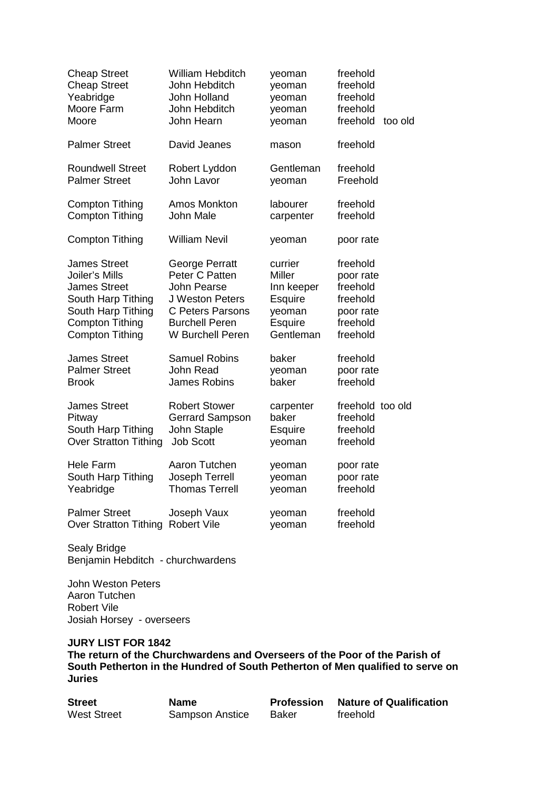| <b>Cheap Street</b><br><b>Cheap Street</b><br>Yeabridge<br>Moore Farm<br>Moore | <b>William Hebditch</b><br>John Hebditch<br>John Holland<br>John Hebditch<br>John Hearn | yeoman<br>yeoman<br>yeoman<br>yeoman<br>yeoman | freehold<br>freehold<br>freehold<br>freehold<br>freehold<br>too old |
|--------------------------------------------------------------------------------|-----------------------------------------------------------------------------------------|------------------------------------------------|---------------------------------------------------------------------|
| <b>Palmer Street</b>                                                           | David Jeanes                                                                            | mason                                          | freehold                                                            |
| <b>Roundwell Street</b>                                                        | Robert Lyddon                                                                           | Gentleman                                      | freehold                                                            |
| <b>Palmer Street</b>                                                           | John Lavor                                                                              | yeoman                                         | Freehold                                                            |
| <b>Compton Tithing</b>                                                         | <b>Amos Monkton</b>                                                                     | labourer                                       | freehold                                                            |
| <b>Compton Tithing</b>                                                         | John Male                                                                               | carpenter                                      | freehold                                                            |
| <b>Compton Tithing</b>                                                         | <b>William Nevil</b>                                                                    | yeoman                                         | poor rate                                                           |
| <b>James Street</b>                                                            | George Perratt                                                                          | currier                                        | freehold                                                            |
| Joiler's Mills                                                                 | Peter C Patten                                                                          | <b>Miller</b>                                  | poor rate                                                           |
| <b>James Street</b>                                                            | <b>John Pearse</b>                                                                      | Inn keeper                                     | freehold                                                            |
| South Harp Tithing                                                             | J Weston Peters                                                                         | <b>Esquire</b>                                 | freehold                                                            |
| South Harp Tithing                                                             | <b>C Peters Parsons</b>                                                                 | yeoman                                         | poor rate                                                           |
| <b>Compton Tithing</b>                                                         | <b>Burchell Peren</b>                                                                   | <b>Esquire</b>                                 | freehold                                                            |
| <b>Compton Tithing</b>                                                         | W Burchell Peren                                                                        | Gentleman                                      | freehold                                                            |
| <b>James Street</b>                                                            | <b>Samuel Robins</b>                                                                    | baker                                          | freehold                                                            |
| <b>Palmer Street</b>                                                           | <b>John Read</b>                                                                        | yeoman                                         | poor rate                                                           |
| <b>Brook</b>                                                                   | <b>James Robins</b>                                                                     | baker                                          | freehold                                                            |
| <b>James Street</b>                                                            | <b>Robert Stower</b>                                                                    | carpenter                                      | freehold too old                                                    |
| Pitway                                                                         | <b>Gerrard Sampson</b>                                                                  | baker                                          | freehold                                                            |
| South Harp Tithing                                                             | John Staple                                                                             | <b>Esquire</b>                                 | freehold                                                            |
| <b>Over Stratton Tithing</b>                                                   | <b>Job Scott</b>                                                                        | yeoman                                         | freehold                                                            |
| <b>Hele Farm</b>                                                               | Aaron Tutchen                                                                           | yeoman                                         | poor rate                                                           |
| South Harp Tithing                                                             | Joseph Terrell                                                                          | yeoman                                         | poor rate                                                           |
| Yeabridge                                                                      | <b>Thomas Terrell</b>                                                                   | yeoman                                         | freehold                                                            |
| <b>Palmer Street</b>                                                           | Joseph Vaux                                                                             | yeoman                                         | freehold                                                            |
| Over Stratton Tithing Robert Vile                                              |                                                                                         | yeoman                                         | freehold                                                            |

John Weston Peters Aaron Tutchen Robert Vile Josiah Horsey - overseers

# **JURY LIST FOR 1842**

| <b>Street</b>      | <b>Name</b>     | Profession | <b>Nature of Qualification</b> |
|--------------------|-----------------|------------|--------------------------------|
| <b>West Street</b> | Sampson Anstice | Baker      | freehold                       |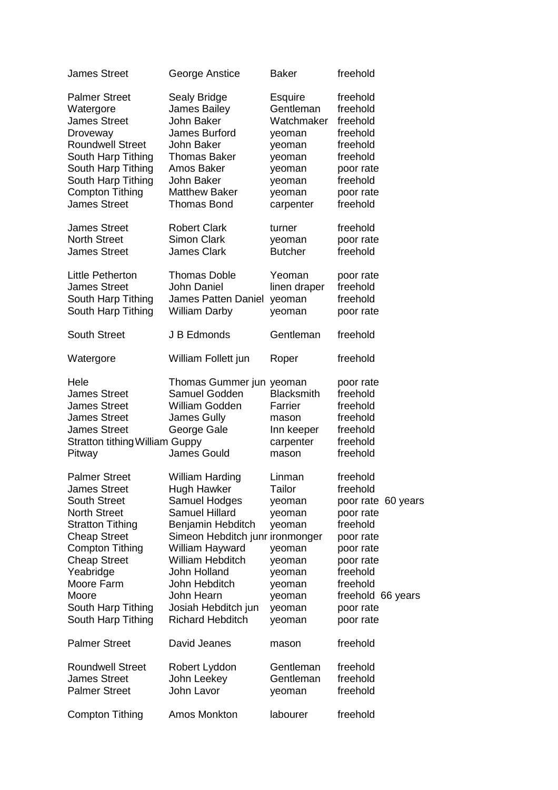| <b>James Street</b>                                                                                                                                                                                                                                                          | George Anstice                                                                                                                                                                                                                                                                                | <b>Baker</b>                                                                                                         | freehold                                                                                                                                                                          |
|------------------------------------------------------------------------------------------------------------------------------------------------------------------------------------------------------------------------------------------------------------------------------|-----------------------------------------------------------------------------------------------------------------------------------------------------------------------------------------------------------------------------------------------------------------------------------------------|----------------------------------------------------------------------------------------------------------------------|-----------------------------------------------------------------------------------------------------------------------------------------------------------------------------------|
| <b>Palmer Street</b><br>Watergore<br><b>James Street</b><br>Droveway<br><b>Roundwell Street</b><br>South Harp Tithing<br>South Harp Tithing<br>South Harp Tithing<br><b>Compton Tithing</b><br><b>James Street</b>                                                           | Sealy Bridge<br>James Bailey<br>John Baker<br>James Burford<br>John Baker<br><b>Thomas Baker</b><br>Amos Baker<br>John Baker<br><b>Matthew Baker</b><br><b>Thomas Bond</b>                                                                                                                    | <b>Esquire</b><br>Gentleman<br>Watchmaker<br>yeoman<br>yeoman<br>yeoman<br>yeoman<br>yeoman<br>yeoman<br>carpenter   | freehold<br>freehold<br>freehold<br>freehold<br>freehold<br>freehold<br>poor rate<br>freehold<br>poor rate<br>freehold                                                            |
| <b>James Street</b><br><b>North Street</b><br><b>James Street</b>                                                                                                                                                                                                            | <b>Robert Clark</b><br><b>Simon Clark</b><br><b>James Clark</b>                                                                                                                                                                                                                               | turner<br>yeoman<br><b>Butcher</b>                                                                                   | freehold<br>poor rate<br>freehold                                                                                                                                                 |
| Little Petherton<br><b>James Street</b><br>South Harp Tithing<br>South Harp Tithing                                                                                                                                                                                          | <b>Thomas Doble</b><br>John Daniel<br><b>James Patten Daniel</b><br><b>William Darby</b>                                                                                                                                                                                                      | Yeoman<br>linen draper<br>yeoman<br>yeoman                                                                           | poor rate<br>freehold<br>freehold<br>poor rate                                                                                                                                    |
| <b>South Street</b>                                                                                                                                                                                                                                                          | J B Edmonds                                                                                                                                                                                                                                                                                   | Gentleman                                                                                                            | freehold                                                                                                                                                                          |
| Watergore                                                                                                                                                                                                                                                                    | William Follett jun                                                                                                                                                                                                                                                                           | Roper                                                                                                                | freehold                                                                                                                                                                          |
| Hele<br><b>James Street</b><br><b>James Street</b><br><b>James Street</b><br><b>James Street</b><br><b>Stratton tithing William Guppy</b><br>Pitway                                                                                                                          | Thomas Gummer jun yeoman<br>Samuel Godden<br>William Godden<br>James Gully<br>George Gale<br><b>James Gould</b>                                                                                                                                                                               | <b>Blacksmith</b><br>Farrier<br>mason<br>Inn keeper<br>carpenter<br>mason                                            | poor rate<br>freehold<br>freehold<br>freehold<br>freehold<br>freehold<br>freehold                                                                                                 |
| <b>Palmer Street</b><br><b>James Street</b><br><b>South Street</b><br><b>North Street</b><br><b>Stratton Tithing</b><br><b>Cheap Street</b><br><b>Compton Tithing</b><br><b>Cheap Street</b><br>Yeabridge<br>Moore Farm<br>Moore<br>South Harp Tithing<br>South Harp Tithing | <b>William Harding</b><br><b>Hugh Hawker</b><br>Samuel Hodges<br><b>Samuel Hillard</b><br>Benjamin Hebditch<br>Simeon Hebditch junr ironmonger<br>William Hayward<br><b>William Hebditch</b><br>John Holland<br>John Hebditch<br>John Hearn<br>Josiah Hebditch jun<br><b>Richard Hebditch</b> | Linman<br>Tailor<br>yeoman<br>yeoman<br>yeoman<br>yeoman<br>yeoman<br>yeoman<br>yeoman<br>yeoman<br>yeoman<br>yeoman | freehold<br>freehold<br>poor rate 60 years<br>poor rate<br>freehold<br>poor rate<br>poor rate<br>poor rate<br>freehold<br>freehold<br>freehold 66 years<br>poor rate<br>poor rate |
| <b>Palmer Street</b>                                                                                                                                                                                                                                                         | David Jeanes                                                                                                                                                                                                                                                                                  | mason                                                                                                                | freehold                                                                                                                                                                          |
| <b>Roundwell Street</b><br><b>James Street</b><br><b>Palmer Street</b>                                                                                                                                                                                                       | Robert Lyddon<br>John Leekey<br>John Lavor                                                                                                                                                                                                                                                    | Gentleman<br>Gentleman<br>yeoman                                                                                     | freehold<br>freehold<br>freehold                                                                                                                                                  |
| <b>Compton Tithing</b>                                                                                                                                                                                                                                                       | Amos Monkton                                                                                                                                                                                                                                                                                  | labourer                                                                                                             | freehold                                                                                                                                                                          |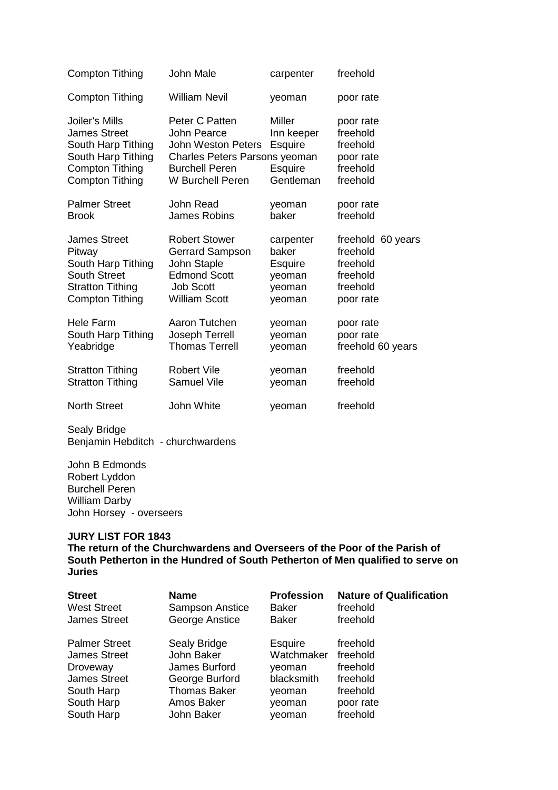| <b>Compton Tithing</b>                                                                                                                | John Male                                                                                                                         | carpenter                                                      | freehold                                                               |
|---------------------------------------------------------------------------------------------------------------------------------------|-----------------------------------------------------------------------------------------------------------------------------------|----------------------------------------------------------------|------------------------------------------------------------------------|
| <b>Compton Tithing</b>                                                                                                                | <b>William Nevil</b>                                                                                                              | yeoman                                                         | poor rate                                                              |
| Joiler's Mills<br><b>James Street</b><br>South Harp Tithing<br>South Harp Tithing<br><b>Compton Tithing</b><br><b>Compton Tithing</b> | Peter C Patten<br>John Pearce<br>John Weston Peters<br>Charles Peters Parsons yeoman<br><b>Burchell Peren</b><br>W Burchell Peren | Miller<br>Inn keeper<br><b>Esquire</b><br>Esquire<br>Gentleman | poor rate<br>freehold<br>freehold<br>poor rate<br>freehold<br>freehold |
| <b>Palmer Street</b>                                                                                                                  | John Read                                                                                                                         | yeoman                                                         | poor rate                                                              |
| <b>Brook</b>                                                                                                                          | <b>James Robins</b>                                                                                                               | baker                                                          | freehold                                                               |
| <b>James Street</b>                                                                                                                   | <b>Robert Stower</b>                                                                                                              | carpenter                                                      | freehold 60 years                                                      |
| Pitway                                                                                                                                | <b>Gerrard Sampson</b>                                                                                                            | baker                                                          | freehold                                                               |
| South Harp Tithing                                                                                                                    | John Staple                                                                                                                       | Esquire                                                        | freehold                                                               |
| <b>South Street</b>                                                                                                                   | <b>Edmond Scott</b>                                                                                                               | yeoman                                                         | freehold                                                               |
| <b>Stratton Tithing</b>                                                                                                               | <b>Job Scott</b>                                                                                                                  | yeoman                                                         | freehold                                                               |
| <b>Compton Tithing</b>                                                                                                                | <b>William Scott</b>                                                                                                              | yeoman                                                         | poor rate                                                              |
| Hele Farm                                                                                                                             | Aaron Tutchen                                                                                                                     | yeoman                                                         | poor rate                                                              |
| South Harp Tithing                                                                                                                    | Joseph Terrell                                                                                                                    | yeoman                                                         | poor rate                                                              |
| Yeabridge                                                                                                                             | <b>Thomas Terrell</b>                                                                                                             | yeoman                                                         | freehold 60 years                                                      |
| <b>Stratton Tithing</b>                                                                                                               | <b>Robert Vile</b>                                                                                                                | yeoman                                                         | freehold                                                               |
| <b>Stratton Tithing</b>                                                                                                               | <b>Samuel Vile</b>                                                                                                                | yeoman                                                         | freehold                                                               |
| <b>North Street</b>                                                                                                                   | John White                                                                                                                        | yeoman                                                         | freehold                                                               |

John B Edmonds Robert Lyddon Burchell Peren William Darby John Horsey - overseers

#### **JURY LIST FOR 1843**

| <b>Street</b>        | <b>Name</b>            | <b>Profession</b> | <b>Nature of Qualification</b> |
|----------------------|------------------------|-------------------|--------------------------------|
| <b>West Street</b>   | <b>Sampson Anstice</b> | <b>Baker</b>      | freehold                       |
| <b>James Street</b>  | George Anstice         | <b>Baker</b>      | freehold                       |
| <b>Palmer Street</b> | Sealy Bridge           | Esquire           | freehold                       |
| <b>James Street</b>  | John Baker             | Watchmaker        | freehold                       |
| Droveway             | James Burford          | yeoman            | freehold                       |
| <b>James Street</b>  | George Burford         | blacksmith        | freehold                       |
| South Harp           | <b>Thomas Baker</b>    | veoman            | freehold                       |
| South Harp           | Amos Baker             | yeoman            | poor rate                      |
| South Harp           | John Baker             | yeoman            | freehold                       |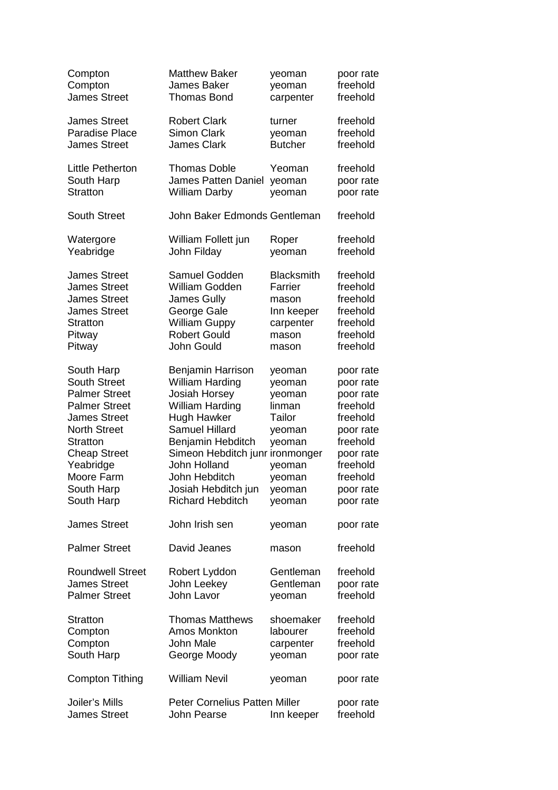| Compton                                                                                                                                                                                                                          | <b>Matthew Baker</b>                                                                                                                                                                                                                                                             | yeoman                                                                                                     | poor rate                                                                                                                                           |
|----------------------------------------------------------------------------------------------------------------------------------------------------------------------------------------------------------------------------------|----------------------------------------------------------------------------------------------------------------------------------------------------------------------------------------------------------------------------------------------------------------------------------|------------------------------------------------------------------------------------------------------------|-----------------------------------------------------------------------------------------------------------------------------------------------------|
| Compton                                                                                                                                                                                                                          | <b>James Baker</b>                                                                                                                                                                                                                                                               | yeoman                                                                                                     | freehold                                                                                                                                            |
| <b>James Street</b>                                                                                                                                                                                                              | <b>Thomas Bond</b>                                                                                                                                                                                                                                                               | carpenter                                                                                                  | freehold                                                                                                                                            |
| James Street                                                                                                                                                                                                                     | <b>Robert Clark</b>                                                                                                                                                                                                                                                              | turner                                                                                                     | freehold                                                                                                                                            |
| <b>Paradise Place</b>                                                                                                                                                                                                            | <b>Simon Clark</b>                                                                                                                                                                                                                                                               | yeoman                                                                                                     | freehold                                                                                                                                            |
| <b>James Street</b>                                                                                                                                                                                                              | <b>James Clark</b>                                                                                                                                                                                                                                                               | <b>Butcher</b>                                                                                             | freehold                                                                                                                                            |
| Little Petherton                                                                                                                                                                                                                 | <b>Thomas Doble</b>                                                                                                                                                                                                                                                              | Yeoman                                                                                                     | freehold                                                                                                                                            |
| South Harp                                                                                                                                                                                                                       | <b>James Patten Daniel</b>                                                                                                                                                                                                                                                       | yeoman                                                                                                     | poor rate                                                                                                                                           |
| <b>Stratton</b>                                                                                                                                                                                                                  | <b>William Darby</b>                                                                                                                                                                                                                                                             | yeoman                                                                                                     | poor rate                                                                                                                                           |
| <b>South Street</b>                                                                                                                                                                                                              | John Baker Edmonds Gentleman                                                                                                                                                                                                                                                     |                                                                                                            | freehold                                                                                                                                            |
| Watergore                                                                                                                                                                                                                        | William Follett jun                                                                                                                                                                                                                                                              | Roper                                                                                                      | freehold                                                                                                                                            |
| Yeabridge                                                                                                                                                                                                                        | John Filday                                                                                                                                                                                                                                                                      | yeoman                                                                                                     | freehold                                                                                                                                            |
| <b>James Street</b>                                                                                                                                                                                                              | Samuel Godden                                                                                                                                                                                                                                                                    | <b>Blacksmith</b>                                                                                          | freehold                                                                                                                                            |
| <b>James Street</b>                                                                                                                                                                                                              | <b>William Godden</b>                                                                                                                                                                                                                                                            | Farrier                                                                                                    | freehold                                                                                                                                            |
| <b>James Street</b>                                                                                                                                                                                                              | <b>James Gully</b>                                                                                                                                                                                                                                                               | mason                                                                                                      | freehold                                                                                                                                            |
| <b>James Street</b>                                                                                                                                                                                                              | George Gale                                                                                                                                                                                                                                                                      | Inn keeper                                                                                                 | freehold                                                                                                                                            |
| <b>Stratton</b>                                                                                                                                                                                                                  | <b>William Guppy</b>                                                                                                                                                                                                                                                             | carpenter                                                                                                  | freehold                                                                                                                                            |
| Pitway                                                                                                                                                                                                                           | <b>Robert Gould</b>                                                                                                                                                                                                                                                              | mason                                                                                                      | freehold                                                                                                                                            |
| Pitway                                                                                                                                                                                                                           | John Gould                                                                                                                                                                                                                                                                       | mason                                                                                                      | freehold                                                                                                                                            |
| South Harp<br><b>South Street</b><br><b>Palmer Street</b><br><b>Palmer Street</b><br><b>James Street</b><br><b>North Street</b><br><b>Stratton</b><br><b>Cheap Street</b><br>Yeabridge<br>Moore Farm<br>South Harp<br>South Harp | Benjamin Harrison<br><b>William Harding</b><br><b>Josiah Horsey</b><br><b>William Harding</b><br>Hugh Hawker<br><b>Samuel Hillard</b><br>Benjamin Hebditch<br>Simeon Hebditch junr ironmonger<br>John Holland<br>John Hebditch<br>Josiah Hebditch jun<br><b>Richard Hebditch</b> | yeoman<br>yeoman<br>yeoman<br>linman<br>Tailor<br>yeoman<br>yeoman<br>yeoman<br>yeoman<br>yeoman<br>yeoman | poor rate<br>poor rate<br>poor rate<br>freehold<br>freehold<br>poor rate<br>freehold<br>poor rate<br>freehold<br>freehold<br>poor rate<br>poor rate |
| <b>James Street</b>                                                                                                                                                                                                              | John Irish sen                                                                                                                                                                                                                                                                   | yeoman                                                                                                     | poor rate                                                                                                                                           |
| <b>Palmer Street</b>                                                                                                                                                                                                             | David Jeanes                                                                                                                                                                                                                                                                     | mason                                                                                                      | freehold                                                                                                                                            |
| <b>Roundwell Street</b>                                                                                                                                                                                                          | Robert Lyddon                                                                                                                                                                                                                                                                    | Gentleman                                                                                                  | freehold                                                                                                                                            |
| <b>James Street</b>                                                                                                                                                                                                              | John Leekey                                                                                                                                                                                                                                                                      | Gentleman                                                                                                  | poor rate                                                                                                                                           |
| <b>Palmer Street</b>                                                                                                                                                                                                             | John Lavor                                                                                                                                                                                                                                                                       | yeoman                                                                                                     | freehold                                                                                                                                            |
| <b>Stratton</b>                                                                                                                                                                                                                  | <b>Thomas Matthews</b>                                                                                                                                                                                                                                                           | shoemaker                                                                                                  | freehold                                                                                                                                            |
| Compton                                                                                                                                                                                                                          | <b>Amos Monkton</b>                                                                                                                                                                                                                                                              | labourer                                                                                                   | freehold                                                                                                                                            |
| Compton                                                                                                                                                                                                                          | John Male                                                                                                                                                                                                                                                                        | carpenter                                                                                                  | freehold                                                                                                                                            |
| South Harp                                                                                                                                                                                                                       | George Moody                                                                                                                                                                                                                                                                     | yeoman                                                                                                     | poor rate                                                                                                                                           |
| <b>Compton Tithing</b>                                                                                                                                                                                                           | <b>William Nevil</b>                                                                                                                                                                                                                                                             | yeoman                                                                                                     | poor rate                                                                                                                                           |
| Joiler's Mills                                                                                                                                                                                                                   | <b>Peter Cornelius Patten Miller</b>                                                                                                                                                                                                                                             | Inn keeper                                                                                                 | poor rate                                                                                                                                           |
| <b>James Street</b>                                                                                                                                                                                                              | John Pearse                                                                                                                                                                                                                                                                      |                                                                                                            | freehold                                                                                                                                            |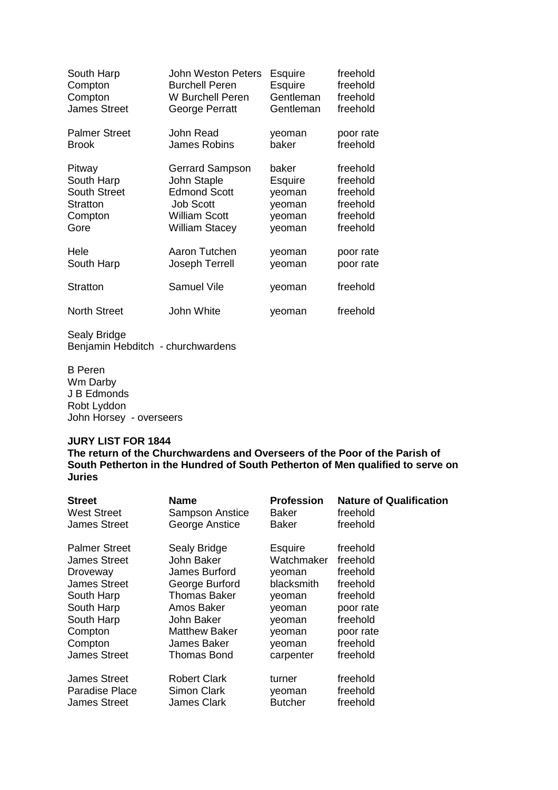| South Harp           | <b>John Weston Peters</b> | Esquire   | freehold  |
|----------------------|---------------------------|-----------|-----------|
| Compton              | <b>Burchell Peren</b>     | Esquire   | freehold  |
| Compton              | W Burchell Peren          | Gentleman | freehold  |
| <b>James Street</b>  | George Perratt            | Gentleman | freehold  |
| <b>Palmer Street</b> | John Read                 | yeoman    | poor rate |
| <b>Brook</b>         | <b>James Robins</b>       | baker     | freehold  |
| Pitway               | Gerrard Sampson           | baker     | freehold  |
| South Harp           | John Staple               | Esquire   | freehold  |
| <b>South Street</b>  | <b>Edmond Scott</b>       | yeoman    | freehold  |
| Stratton             | <b>Job Scott</b>          | yeoman    | freehold  |
| Compton              | <b>William Scott</b>      | yeoman    | freehold  |
| Gore                 | William Stacey            | yeoman    | freehold  |
| Hele                 | Aaron Tutchen             | yeoman    | poor rate |
| South Harp           | Joseph Terrell            | yeoman    | poor rate |
| <b>Stratton</b>      | <b>Samuel Vile</b>        | yeoman    | freehold  |
| <b>North Street</b>  | John White                | yeoman    | freehold  |

B Peren Wm Darby J B Edmonds Robt Lyddon John Horsey - overseers

#### **JURY LIST FOR 1844**

| <b>Street</b>        | <b>Name</b>         | <b>Profession</b> | <b>Nature of Qualification</b> |
|----------------------|---------------------|-------------------|--------------------------------|
| <b>West Street</b>   | Sampson Anstice     | Baker             | freehold                       |
| <b>James Street</b>  | George Anstice      | Baker             | freehold                       |
| <b>Palmer Street</b> | Sealy Bridge        | <b>Esquire</b>    | freehold                       |
| James Street         | John Baker          | Watchmaker        | freehold                       |
| Droveway             | James Burford       | yeoman            | freehold                       |
| <b>James Street</b>  | George Burford      | blacksmith        | freehold                       |
| South Harp           | Thomas Baker        | veoman            | freehold                       |
| South Harp           | Amos Baker          | veoman            | poor rate                      |
| South Harp           | John Baker          | yeoman            | freehold                       |
| Compton              | Matthew Baker       | veoman            | poor rate                      |
| Compton              | James Baker         | yeoman            | freehold                       |
| <b>James Street</b>  | Thomas Bond         | carpenter         | freehold                       |
| <b>James Street</b>  | <b>Robert Clark</b> | turner            | freehold                       |
| Paradise Place       | <b>Simon Clark</b>  | yeoman            | freehold                       |
| <b>James Street</b>  | <b>James Clark</b>  | <b>Butcher</b>    | freehold                       |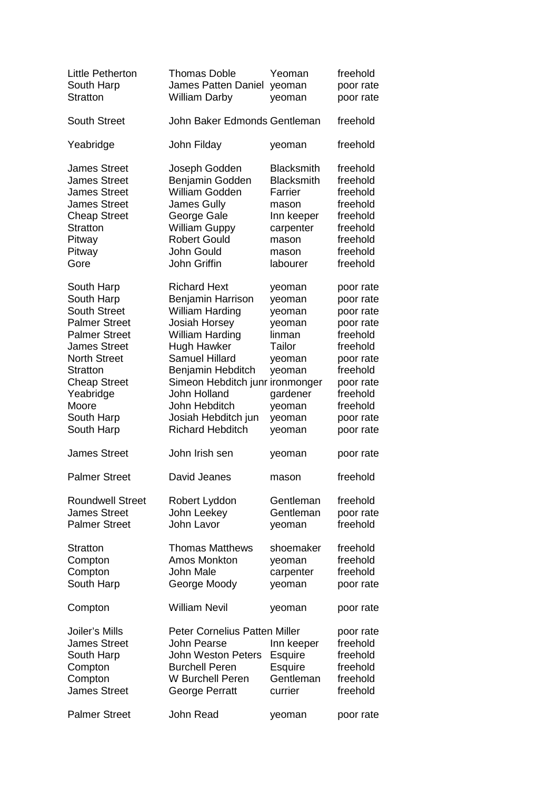| <b>Little Petherton</b><br>South Harp<br><b>Stratton</b>                                                                                                                                                                                  | <b>Thomas Doble</b><br><b>James Patten Daniel</b><br><b>William Darby</b>                                                                                                                                                                                                                           | Yeoman<br>yeoman<br>yeoman                                                                                                           | freehold<br>poor rate<br>poor rate                                                                                                                               |
|-------------------------------------------------------------------------------------------------------------------------------------------------------------------------------------------------------------------------------------------|-----------------------------------------------------------------------------------------------------------------------------------------------------------------------------------------------------------------------------------------------------------------------------------------------------|--------------------------------------------------------------------------------------------------------------------------------------|------------------------------------------------------------------------------------------------------------------------------------------------------------------|
| <b>South Street</b>                                                                                                                                                                                                                       | John Baker Edmonds Gentleman                                                                                                                                                                                                                                                                        |                                                                                                                                      | freehold                                                                                                                                                         |
| Yeabridge                                                                                                                                                                                                                                 | John Filday                                                                                                                                                                                                                                                                                         | yeoman                                                                                                                               | freehold                                                                                                                                                         |
| <b>James Street</b><br><b>James Street</b><br><b>James Street</b><br><b>James Street</b><br><b>Cheap Street</b><br><b>Stratton</b><br>Pitway<br>Pitway<br>Gore                                                                            | Joseph Godden<br>Benjamin Godden<br><b>William Godden</b><br><b>James Gully</b><br>George Gale<br><b>William Guppy</b><br><b>Robert Gould</b><br>John Gould<br>John Griffin                                                                                                                         | <b>Blacksmith</b><br><b>Blacksmith</b><br>Farrier<br>mason<br>Inn keeper<br>carpenter<br>mason<br>mason<br>labourer                  | freehold<br>freehold<br>freehold<br>freehold<br>freehold<br>freehold<br>freehold<br>freehold<br>freehold                                                         |
| South Harp<br>South Harp<br><b>South Street</b><br><b>Palmer Street</b><br><b>Palmer Street</b><br><b>James Street</b><br><b>North Street</b><br><b>Stratton</b><br><b>Cheap Street</b><br>Yeabridge<br>Moore<br>South Harp<br>South Harp | <b>Richard Hext</b><br>Benjamin Harrison<br><b>William Harding</b><br><b>Josiah Horsey</b><br><b>William Harding</b><br><b>Hugh Hawker</b><br><b>Samuel Hillard</b><br>Benjamin Hebditch<br>Simeon Hebditch junr<br>John Holland<br>John Hebditch<br>Josiah Hebditch jun<br><b>Richard Hebditch</b> | yeoman<br>yeoman<br>yeoman<br>yeoman<br>linman<br>Tailor<br>yeoman<br>yeoman<br>ironmonger<br>gardener<br>yeoman<br>yeoman<br>yeoman | poor rate<br>poor rate<br>poor rate<br>poor rate<br>freehold<br>freehold<br>poor rate<br>freehold<br>poor rate<br>freehold<br>freehold<br>poor rate<br>poor rate |
| <b>James Street</b>                                                                                                                                                                                                                       | John Irish sen                                                                                                                                                                                                                                                                                      | yeoman                                                                                                                               | poor rate                                                                                                                                                        |
| <b>Palmer Street</b>                                                                                                                                                                                                                      | David Jeanes                                                                                                                                                                                                                                                                                        | mason                                                                                                                                | freehold                                                                                                                                                         |
| <b>Roundwell Street</b><br><b>James Street</b><br><b>Palmer Street</b>                                                                                                                                                                    | Robert Lyddon<br>John Leekey<br>John Lavor                                                                                                                                                                                                                                                          | Gentleman<br>Gentleman<br>yeoman                                                                                                     | freehold<br>poor rate<br>freehold                                                                                                                                |
| Stratton<br>Compton<br>Compton<br>South Harp                                                                                                                                                                                              | <b>Thomas Matthews</b><br>Amos Monkton<br>John Male<br>George Moody                                                                                                                                                                                                                                 | shoemaker<br>yeoman<br>carpenter<br>yeoman                                                                                           | freehold<br>freehold<br>freehold<br>poor rate                                                                                                                    |
| Compton                                                                                                                                                                                                                                   | <b>William Nevil</b>                                                                                                                                                                                                                                                                                | yeoman                                                                                                                               | poor rate                                                                                                                                                        |
| Joiler's Mills<br><b>James Street</b><br>South Harp<br>Compton<br>Compton<br><b>James Street</b>                                                                                                                                          | <b>Peter Cornelius Patten Miller</b><br>John Pearse<br><b>John Weston Peters</b><br><b>Burchell Peren</b><br>W Burchell Peren<br>George Perratt                                                                                                                                                     | Inn keeper<br><b>Esquire</b><br><b>Esquire</b><br>Gentleman<br>currier                                                               | poor rate<br>freehold<br>freehold<br>freehold<br>freehold<br>freehold                                                                                            |
| <b>Palmer Street</b>                                                                                                                                                                                                                      | <b>John Read</b>                                                                                                                                                                                                                                                                                    | yeoman                                                                                                                               | poor rate                                                                                                                                                        |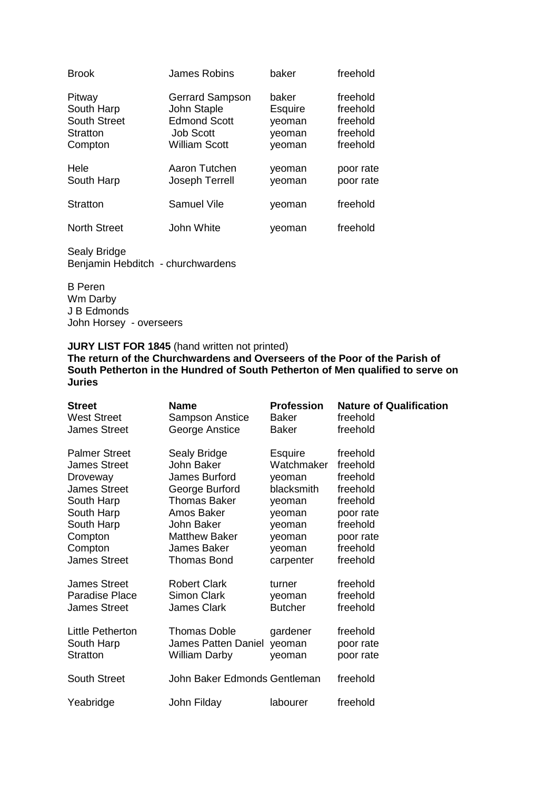| <b>Brook</b>                                                       | James Robins                                                                                             | baker                                                 | freehold                                                 |
|--------------------------------------------------------------------|----------------------------------------------------------------------------------------------------------|-------------------------------------------------------|----------------------------------------------------------|
| Pitway<br>South Harp<br><b>South Street</b><br>Stratton<br>Compton | <b>Gerrard Sampson</b><br>John Staple<br><b>Edmond Scott</b><br><b>Job Scott</b><br><b>William Scott</b> | baker<br><b>Esquire</b><br>yeoman<br>yeoman<br>yeoman | freehold<br>freehold<br>freehold<br>freehold<br>freehold |
| Hele<br>South Harp                                                 | Aaron Tutchen<br>Joseph Terrell                                                                          | veoman<br>yeoman                                      | poor rate<br>poor rate                                   |
| Stratton                                                           | <b>Samuel Vile</b>                                                                                       | yeoman                                                | freehold                                                 |
| <b>North Street</b>                                                | John White                                                                                               | veoman                                                | freehold                                                 |

B Peren Wm Darby J B Edmonds John Horsey - overseers

## **JURY LIST FOR 1845** (hand written not printed)

| <b>Street</b><br><b>West Street</b>   | <b>Name</b><br><b>Sampson Anstice</b>     | <b>Profession</b><br><b>Baker</b> | <b>Nature of Qualification</b><br>freehold |
|---------------------------------------|-------------------------------------------|-----------------------------------|--------------------------------------------|
| <b>James Street</b>                   | George Anstice                            | Baker                             | freehold                                   |
| <b>Palmer Street</b><br>James Street  | Sealy Bridge<br>John Baker                | <b>Esquire</b><br>Watchmaker      | freehold<br>freehold                       |
| Droveway                              | James Burford                             | yeoman                            | freehold                                   |
| <b>James Street</b><br>South Harp     | George Burford<br>Thomas Baker            | blacksmith<br>yeoman              | freehold<br>freehold                       |
| South Harp                            | Amos Baker                                | yeoman                            | poor rate                                  |
| South Harp<br>Compton                 | John Baker<br><b>Matthew Baker</b>        | yeoman<br>yeoman                  | freehold<br>poor rate                      |
| Compton<br><b>James Street</b>        | James Baker<br><b>Thomas Bond</b>         | yeoman<br>carpenter               | freehold<br>freehold                       |
|                                       |                                           |                                   |                                            |
| James Street<br><b>Paradise Place</b> | <b>Robert Clark</b><br><b>Simon Clark</b> | turner<br>yeoman                  | freehold<br>freehold                       |
| <b>James Street</b>                   | <b>James Clark</b>                        | <b>Butcher</b>                    | freehold                                   |
| Little Petherton                      | <b>Thomas Doble</b>                       | gardener                          | freehold                                   |
| South Harp<br><b>Stratton</b>         | James Patten Daniel<br>William Darby      | yeoman<br>yeoman                  | poor rate<br>poor rate                     |
|                                       |                                           |                                   |                                            |
| <b>South Street</b>                   | John Baker Edmonds Gentleman              |                                   | freehold                                   |
| Yeabridge                             | John Filday                               | labourer                          | freehold                                   |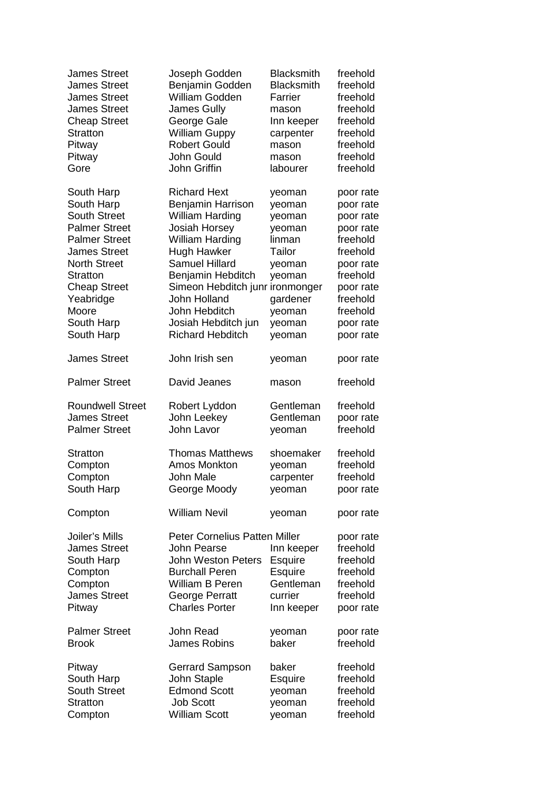| <b>James Street</b>                                                                                                                                                                                                                       | Joseph Godden                                                                                                                                                                                                                                                                                           | <b>Blacksmith</b>                                                                                                      | freehold                                                                                                                                                         |
|-------------------------------------------------------------------------------------------------------------------------------------------------------------------------------------------------------------------------------------------|---------------------------------------------------------------------------------------------------------------------------------------------------------------------------------------------------------------------------------------------------------------------------------------------------------|------------------------------------------------------------------------------------------------------------------------|------------------------------------------------------------------------------------------------------------------------------------------------------------------|
| <b>James Street</b>                                                                                                                                                                                                                       | Benjamin Godden                                                                                                                                                                                                                                                                                         | <b>Blacksmith</b>                                                                                                      | freehold                                                                                                                                                         |
| <b>James Street</b>                                                                                                                                                                                                                       | William Godden                                                                                                                                                                                                                                                                                          | Farrier                                                                                                                | freehold                                                                                                                                                         |
| <b>James Street</b>                                                                                                                                                                                                                       | <b>James Gully</b>                                                                                                                                                                                                                                                                                      | mason                                                                                                                  | freehold                                                                                                                                                         |
| <b>Cheap Street</b>                                                                                                                                                                                                                       | George Gale                                                                                                                                                                                                                                                                                             | Inn keeper                                                                                                             | freehold                                                                                                                                                         |
| Stratton                                                                                                                                                                                                                                  | <b>William Guppy</b>                                                                                                                                                                                                                                                                                    | carpenter                                                                                                              | freehold                                                                                                                                                         |
| Pitway                                                                                                                                                                                                                                    | <b>Robert Gould</b>                                                                                                                                                                                                                                                                                     | mason                                                                                                                  | freehold                                                                                                                                                         |
| Pitway                                                                                                                                                                                                                                    | John Gould                                                                                                                                                                                                                                                                                              | mason                                                                                                                  | freehold                                                                                                                                                         |
| Gore                                                                                                                                                                                                                                      | John Griffin                                                                                                                                                                                                                                                                                            | labourer                                                                                                               | freehold                                                                                                                                                         |
| South Harp<br>South Harp<br><b>South Street</b><br><b>Palmer Street</b><br><b>Palmer Street</b><br><b>James Street</b><br><b>North Street</b><br><b>Stratton</b><br><b>Cheap Street</b><br>Yeabridge<br>Moore<br>South Harp<br>South Harp | <b>Richard Hext</b><br>Benjamin Harrison<br><b>William Harding</b><br>Josiah Horsey<br><b>William Harding</b><br><b>Hugh Hawker</b><br><b>Samuel Hillard</b><br>Benjamin Hebditch<br>Simeon Hebditch junr ironmonger<br>John Holland<br>John Hebditch<br>Josiah Hebditch jun<br><b>Richard Hebditch</b> | yeoman<br>yeoman<br>yeoman<br>yeoman<br>linman<br>Tailor<br>yeoman<br>yeoman<br>gardener<br>yeoman<br>yeoman<br>yeoman | poor rate<br>poor rate<br>poor rate<br>poor rate<br>freehold<br>freehold<br>poor rate<br>freehold<br>poor rate<br>freehold<br>freehold<br>poor rate<br>poor rate |
| <b>James Street</b>                                                                                                                                                                                                                       | John Irish sen                                                                                                                                                                                                                                                                                          | yeoman                                                                                                                 | poor rate                                                                                                                                                        |
| <b>Palmer Street</b>                                                                                                                                                                                                                      | David Jeanes                                                                                                                                                                                                                                                                                            | mason                                                                                                                  | freehold                                                                                                                                                         |
| <b>Roundwell Street</b>                                                                                                                                                                                                                   | Robert Lyddon                                                                                                                                                                                                                                                                                           | Gentleman                                                                                                              | freehold                                                                                                                                                         |
| <b>James Street</b>                                                                                                                                                                                                                       | John Leekey                                                                                                                                                                                                                                                                                             | Gentleman                                                                                                              | poor rate                                                                                                                                                        |
| <b>Palmer Street</b>                                                                                                                                                                                                                      | John Lavor                                                                                                                                                                                                                                                                                              | yeoman                                                                                                                 | freehold                                                                                                                                                         |
| <b>Stratton</b>                                                                                                                                                                                                                           | <b>Thomas Matthews</b>                                                                                                                                                                                                                                                                                  | shoemaker                                                                                                              | freehold                                                                                                                                                         |
| Compton                                                                                                                                                                                                                                   | Amos Monkton                                                                                                                                                                                                                                                                                            | yeoman                                                                                                                 | freehold                                                                                                                                                         |
| Compton                                                                                                                                                                                                                                   | John Male                                                                                                                                                                                                                                                                                               | carpenter                                                                                                              | freehold                                                                                                                                                         |
| South Harp                                                                                                                                                                                                                                | George Moody                                                                                                                                                                                                                                                                                            | yeoman                                                                                                                 | poor rate                                                                                                                                                        |
| Compton                                                                                                                                                                                                                                   | <b>William Nevil</b>                                                                                                                                                                                                                                                                                    | yeoman                                                                                                                 | poor rate                                                                                                                                                        |
| Joiler's Mills<br><b>James Street</b><br>South Harp<br>Compton<br>Compton<br><b>James Street</b><br>Pitway                                                                                                                                | <b>Peter Cornelius Patten Miller</b><br>John Pearse<br><b>John Weston Peters</b><br><b>Burchall Peren</b><br><b>William B Peren</b><br><b>George Perratt</b><br><b>Charles Porter</b>                                                                                                                   | Inn keeper<br>Esquire<br><b>Esquire</b><br>Gentleman<br>currier<br>Inn keeper                                          | poor rate<br>freehold<br>freehold<br>freehold<br>freehold<br>freehold<br>poor rate                                                                               |
| <b>Palmer Street</b>                                                                                                                                                                                                                      | John Read                                                                                                                                                                                                                                                                                               | yeoman                                                                                                                 | poor rate                                                                                                                                                        |
| <b>Brook</b>                                                                                                                                                                                                                              | James Robins                                                                                                                                                                                                                                                                                            | baker                                                                                                                  | freehold                                                                                                                                                         |
| Pitway                                                                                                                                                                                                                                    | <b>Gerrard Sampson</b>                                                                                                                                                                                                                                                                                  | baker                                                                                                                  | freehold                                                                                                                                                         |
| South Harp                                                                                                                                                                                                                                | John Staple                                                                                                                                                                                                                                                                                             | <b>Esquire</b>                                                                                                         | freehold                                                                                                                                                         |
| <b>South Street</b>                                                                                                                                                                                                                       | <b>Edmond Scott</b>                                                                                                                                                                                                                                                                                     | yeoman                                                                                                                 | freehold                                                                                                                                                         |
| <b>Stratton</b>                                                                                                                                                                                                                           | <b>Job Scott</b>                                                                                                                                                                                                                                                                                        | yeoman                                                                                                                 | freehold                                                                                                                                                         |
| Compton                                                                                                                                                                                                                                   | <b>William Scott</b>                                                                                                                                                                                                                                                                                    | yeoman                                                                                                                 | freehold                                                                                                                                                         |